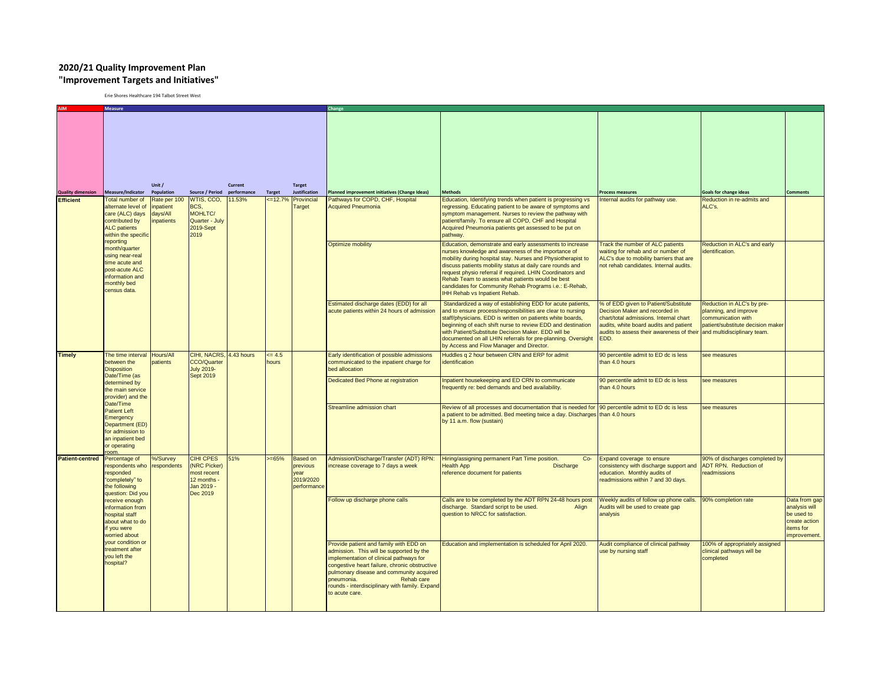## **2020/21 Quality Improvement Plan "Improvement Targets and Initiatives"**

Erie Shores Healthcare 194 Talbot Street West

|                          | Measure                                                                                                                                                                                                                                      |                                     |                                                                                         |                        |                  |                                                                 |                                                                                                                                                                                                                                                                                                                           |                                                                                                                                                                                                                                                                                                                                                                                                                                                                  |                                                                                                                                                                                                                 |                                                                                                                                               |                                                                                            |  |
|--------------------------|----------------------------------------------------------------------------------------------------------------------------------------------------------------------------------------------------------------------------------------------|-------------------------------------|-----------------------------------------------------------------------------------------|------------------------|------------------|-----------------------------------------------------------------|---------------------------------------------------------------------------------------------------------------------------------------------------------------------------------------------------------------------------------------------------------------------------------------------------------------------------|------------------------------------------------------------------------------------------------------------------------------------------------------------------------------------------------------------------------------------------------------------------------------------------------------------------------------------------------------------------------------------------------------------------------------------------------------------------|-----------------------------------------------------------------------------------------------------------------------------------------------------------------------------------------------------------------|-----------------------------------------------------------------------------------------------------------------------------------------------|--------------------------------------------------------------------------------------------|--|
| <b>Quality dimension</b> | Measure/Indicator                                                                                                                                                                                                                            | Unit /<br>Population                | <b>Source / Period</b>                                                                  | Current<br>performance | <b>Target</b>    | <b>Target</b><br><b>Justification</b>                           | lanned improvement initiatives (Change Ideas)                                                                                                                                                                                                                                                                             | <b>Methods</b>                                                                                                                                                                                                                                                                                                                                                                                                                                                   | <b>Process measures</b>                                                                                                                                                                                         | <b>Goals for change ideas</b>                                                                                                                 | <b>Comments</b>                                                                            |  |
| <b>Efficient</b>         | <b>Total number of</b>                                                                                                                                                                                                                       | Rate per 100                        | WTIS, CCO.                                                                              | 11.53%                 | $=12.7%$         | Provincial                                                      | Pathways for COPD, CHF, Hospital                                                                                                                                                                                                                                                                                          | Education, Identifying trends when patient is progressing vs                                                                                                                                                                                                                                                                                                                                                                                                     | Internal audits for pathway use.                                                                                                                                                                                | Reduction in re-admits and                                                                                                                    |                                                                                            |  |
|                          | alternate level of<br>care (ALC) days<br>contributed by<br><b>ALC</b> patients<br>within the specific<br>reporting<br>month/quarter<br>using near-real<br>time acute and<br>post-acute ALC<br>information and<br>monthly bed<br>census data. | inpatient<br>days/All<br>inpatients | BCS.<br>MOHLTC/<br>Quarter - July<br>2019-Sept<br>2019                                  |                        |                  | Target                                                          | <b>Acquired Pneumonia</b>                                                                                                                                                                                                                                                                                                 | regressing. Educating patient to be aware of symptoms and<br>symptom management. Nurses to review the pathway with<br>patient/family. To ensure all COPD, CHF and Hospital<br>Acquired Pneumonia patients get assessed to be put on<br>pathway.                                                                                                                                                                                                                  |                                                                                                                                                                                                                 | ALC's.                                                                                                                                        |                                                                                            |  |
|                          |                                                                                                                                                                                                                                              |                                     |                                                                                         |                        |                  |                                                                 | <b>Optimize mobility</b>                                                                                                                                                                                                                                                                                                  | Education, demonstrate and early assessments to increase<br>nurses knowledge and awareness of the importance of<br>mobility during hospital stay. Nurses and Physiotherapist to<br>discuss patients mobility status at daily care rounds and<br>request physio referral if required. LHIN Coordinators and<br>Rehab Team to assess what patients would be best<br>candidates for Community Rehab Programs i.e.: E-Rehab,<br><b>IHH Rehab vs Inpatient Rehab.</b> | Track the number of ALC patients<br>waiting for rehab and or number of<br>ALC's due to mobility barriers that are<br>not rehab candidates. Internal audits.                                                     | Reduction in ALC's and early<br>identification.                                                                                               |                                                                                            |  |
|                          |                                                                                                                                                                                                                                              |                                     |                                                                                         |                        |                  |                                                                 | Estimated discharge dates (EDD) for all<br>acute patients within 24 hours of admission                                                                                                                                                                                                                                    | Standardized a way of establishing EDD for acute patients,<br>and to ensure process/responsibilities are clear to nursing<br>staff/physicians. EDD is written on patients white boards,<br>beginning of each shift nurse to review EDD and destination<br>with Patient/Substitute Decision Maker. EDD will be<br>documented on all LHIN referrals for pre-planning. Oversight<br>by Access and Flow Manager and Director.                                        | % of EDD given to Patient/Substitute<br>Decision Maker and recorded in<br>chart/total admissions. Internal chart<br>audits, white board audits and patient<br>audits to assess their awareness of their<br>EDD. | Reduction in ALC's by pre-<br>planning, and improve<br>communication with<br>patient/substitute decision maker<br>and multidisciplinary team. |                                                                                            |  |
| <b>Timely</b>            | The time interval<br>between the<br><b>Disposition</b><br>Date/Time (as                                                                                                                                                                      | Hours/All<br>patients               | CIHI, NACRS, 4.43 hours<br>CCO/Quarter<br><b>July 2019-</b>                             |                        | $= 4.5$<br>hours |                                                                 | Early identification of possible admissions<br>communicated to the inpatient charge for<br>bed allocation                                                                                                                                                                                                                 | Huddles q 2 hour between CRN and ERP for admit<br>identification                                                                                                                                                                                                                                                                                                                                                                                                 | 90 percentile admit to ED dc is less<br>than 4.0 hours                                                                                                                                                          | see measures                                                                                                                                  |                                                                                            |  |
|                          | determined by<br>the main service<br>provider) and the                                                                                                                                                                                       |                                     | <b>Sept 2019</b>                                                                        |                        |                  |                                                                 | Dedicated Bed Phone at registration                                                                                                                                                                                                                                                                                       | Inpatient housekeeping and ED CRN to communicate<br>requently re: bed demands and bed availability.                                                                                                                                                                                                                                                                                                                                                              | 90 percentile admit to ED dc is less<br>than 4.0 hours                                                                                                                                                          | see measures                                                                                                                                  |                                                                                            |  |
|                          | Date/Time<br><b>Patient Left</b><br>Emergency<br>Department (ED)<br>for admission to<br>an inpatient bed<br>or operating                                                                                                                     |                                     |                                                                                         |                        |                  |                                                                 | Streamline admission chart                                                                                                                                                                                                                                                                                                | Review of all processes and documentation that is needed for 90 percentile admit to ED dc is less<br>a patient to be admitted. Bed meeting twice a day. Discharges than 4.0 hours<br>by 11 a.m. flow (sustain)                                                                                                                                                                                                                                                   |                                                                                                                                                                                                                 | see measures                                                                                                                                  |                                                                                            |  |
| <b>Patient-centred</b>   | Percentage of<br>respondents who<br>responded<br>"completely" to<br>the following<br>question: Did you                                                                                                                                       | %/Survey<br>respondents             | CIHI CPES<br><b>NRC Picker)</b><br>most recent<br>12 months -<br>Jan 2019 -<br>Dec 2019 | 51%                    | $>= 65%$         | <b>Based on</b><br>previous<br>year<br>2019/2020<br>performance | Admission/Discharge/Transfer (ADT) RPN:<br>increase coverage to 7 days a week                                                                                                                                                                                                                                             | Hiring/assigning permanent Part Time position.<br>Co-<br><b>Health App</b><br>Discharge<br>reference document for patients                                                                                                                                                                                                                                                                                                                                       | Expand coverage to ensure<br>consistency with discharge support and<br>education. Monthly audits of<br>readmissions within 7 and 30 days.                                                                       | 90% of discharges completed by<br>ADT RPN. Reduction of<br>readmissions                                                                       |                                                                                            |  |
|                          | receive enough<br>information from<br>hospital staff<br>about what to do<br>if you were<br>worried about<br>your condition or<br>treatment after<br>you left the<br>hospital?                                                                |                                     |                                                                                         |                        |                  |                                                                 | Follow up discharge phone calls                                                                                                                                                                                                                                                                                           | Calls are to be completed by the ADT RPN 24-48 hours post<br>discharge. Standard script to be used.<br>Align<br>question to NRCC for satisfaction.                                                                                                                                                                                                                                                                                                               | Weekly audits of follow up phone calls.<br>Audits will be used to create gap<br>analysis                                                                                                                        | 90% completion rate                                                                                                                           | Data from gap<br>analysis will<br>be used to<br>create action<br>items for<br>improvement. |  |
|                          |                                                                                                                                                                                                                                              |                                     |                                                                                         |                        |                  |                                                                 | Provide patient and family with EDD on<br>admission. This will be supported by the<br>mplementation of clinical pathways for<br>congestive heart failure, chronic obstructive<br>pulmonary disease and community acquired<br>oneumonia.<br>Rehab care<br>rounds - interdisciplinary with family. Expand<br>to acute care. | Education and implementation is scheduled for April 2020.                                                                                                                                                                                                                                                                                                                                                                                                        | Audit compliance of clinical pathway<br>use by nursing staff                                                                                                                                                    | 100% of appropriately assigned<br>clinical pathways will be<br>completed                                                                      |                                                                                            |  |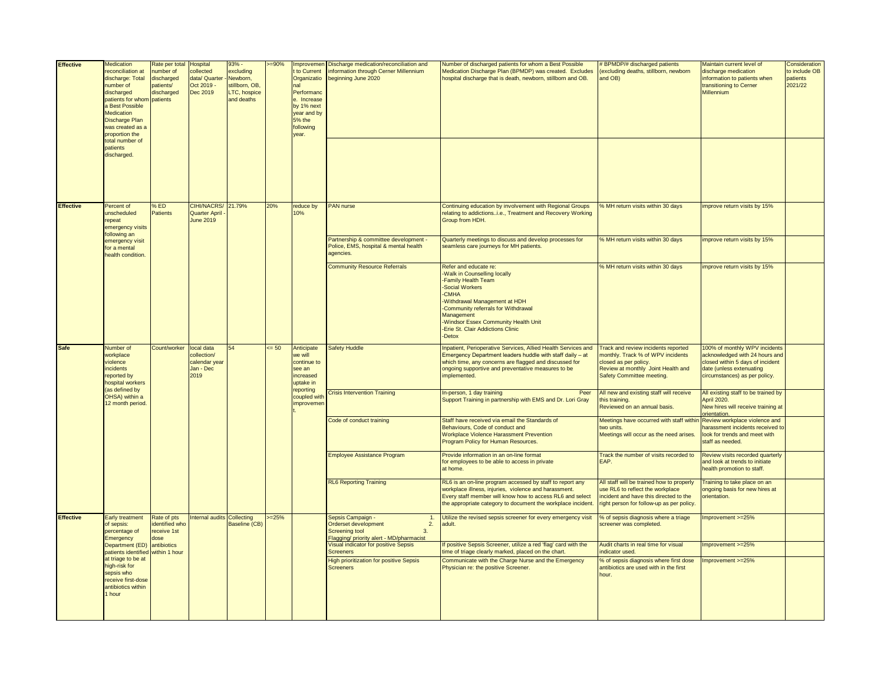| <b>Effective</b> | Medication                                                                                                                                                                                                                                 | Rate per total                                                 | <b>Hospital</b>                                                 | $93% -$                                                               | $=90%$  | Improvemen                                                                                                                   | Discharge medication/reconciliation and                                                                                                    | Number of discharged patients for whom a Best Possible                                                                                                                                                                                                                               | # BPMDP/# discharged patients                                                                                                                                        | Maintain current level of                                                                                                                                        | Consideration                        |
|------------------|--------------------------------------------------------------------------------------------------------------------------------------------------------------------------------------------------------------------------------------------|----------------------------------------------------------------|-----------------------------------------------------------------|-----------------------------------------------------------------------|---------|------------------------------------------------------------------------------------------------------------------------------|--------------------------------------------------------------------------------------------------------------------------------------------|--------------------------------------------------------------------------------------------------------------------------------------------------------------------------------------------------------------------------------------------------------------------------------------|----------------------------------------------------------------------------------------------------------------------------------------------------------------------|------------------------------------------------------------------------------------------------------------------------------------------------------------------|--------------------------------------|
|                  | reconciliation at<br>discharge: Total<br>number of<br>discharged<br>patients for whom<br>a Best Possible<br><b>Medication</b><br><b>Discharge Plan</b><br>was created as a<br>proportion the<br>total number of<br>patients<br>discharged. | number of<br>discharged<br>patients/<br>discharged<br>patients | collected<br>data/ Quarter<br>Oct 2019 -<br>Dec 2019            | excluding<br>Newborn,<br>stillborn, OB,<br>LTC, hospice<br>and deaths |         | t to Current<br>Organizatio<br>nal<br>Performand<br>e. Increase<br>by 1% next<br>year and by<br>5% the<br>following<br>year. | information through Cerner Millennium<br>beginning June 2020                                                                               | Medication Discharge Plan (BPMDP) was created. Excludes<br>hospital discharge that is death, newborn, stillborn and OB.                                                                                                                                                              | (excluding deaths, stillborn, newborn<br>and OB)                                                                                                                     | discharge medication<br>information to patients when<br>transitioning to Cerner<br>Millennium                                                                    | to include OB<br>patients<br>2021/22 |
| <b>Effective</b> | Percent of                                                                                                                                                                                                                                 | %ED                                                            | CIHI/NACRS/ 21.79%                                              |                                                                       | 20%     | reduce by                                                                                                                    | PAN nurse                                                                                                                                  | Continuing education by involvement with Regional Groups                                                                                                                                                                                                                             | % MH return visits within 30 days                                                                                                                                    | improve return visits by 15%                                                                                                                                     |                                      |
|                  | unscheduled<br>repeat<br>emergency visits<br>following an                                                                                                                                                                                  | <b>Patients</b>                                                | <b>Quarter April</b><br><b>June 2019</b>                        |                                                                       |         | 10%                                                                                                                          |                                                                                                                                            | relating to addictionsi.e., Treatment and Recovery Working<br>Group from HDH.                                                                                                                                                                                                        |                                                                                                                                                                      |                                                                                                                                                                  |                                      |
|                  | emergency visit<br>for a mental<br>health condition.                                                                                                                                                                                       |                                                                |                                                                 |                                                                       |         |                                                                                                                              | Partnership & committee development -<br>Police, EMS, hospital & mental health<br>agencies.                                                | Quarterly meetings to discuss and develop processes for<br>seamless care journeys for MH patients.                                                                                                                                                                                   | % MH return visits within 30 days                                                                                                                                    | mprove return visits by 15%                                                                                                                                      |                                      |
|                  |                                                                                                                                                                                                                                            |                                                                |                                                                 |                                                                       |         |                                                                                                                              | <b>Community Resource Referrals</b>                                                                                                        | Refer and educate re:<br>-Walk in Counselling locally<br>-Family Health Team<br>-Social Workers<br>-CMHA<br>Withdrawal Management at HDH<br>-Community referrals for Withdrawal<br>Management<br>-Windsor Essex Community Health Unit<br>-Erie St. Clair Addictions Clinic<br>-Detox | % MH return visits within 30 days                                                                                                                                    | improve return visits by 15%                                                                                                                                     |                                      |
| <b>Safe</b>      | Number of<br>workplace<br>violence<br>incidents<br>reported by<br>hospital workers<br>as defined by<br>OHSA) within a<br>12 month period.                                                                                                  | Count/worker                                                   | local data<br>collection/<br>calendar year<br>Jan - Dec<br>2019 |                                                                       | $= 50$  | Anticipate<br>we will<br>continue to<br>see an<br>increased<br>uptake in<br>reporting<br>coupled wit<br>improvemer           | <b>Safety Huddle</b>                                                                                                                       | Inpatient, Perioperative Services, Allied Health Services and<br>Emergency Department leaders huddle with staff daily - at<br>which time, any concerns are flagged and discussed for<br>ongoing supportive and preventative measures to be<br>implemented.                           | Track and review incidents reported<br>monthly. Track % of WPV incidents<br>closed as per policy.<br>Review at monthly Joint Health and<br>Safety Committee meeting. | 100% of monthly WPV incidents<br>acknowledged with 24 hours and<br>closed within 5 days of incident<br>date (unless extenuating<br>circumstances) as per policy. |                                      |
|                  |                                                                                                                                                                                                                                            |                                                                |                                                                 |                                                                       |         |                                                                                                                              | <b>Crisis Intervention Training</b>                                                                                                        | In-person, 1 day training<br>Peer<br>Support Training in partnership with EMS and Dr. Lori Gray                                                                                                                                                                                      | All new and existing staff will receive<br>this training.<br>Reviewed on an annual basis.                                                                            | All existing staff to be trained by<br>April 2020.<br>New hires will receive training at<br>prientation.                                                         |                                      |
|                  |                                                                                                                                                                                                                                            |                                                                |                                                                 |                                                                       |         |                                                                                                                              | Code of conduct training                                                                                                                   | Staff have received via email the Standards of<br>Behaviours, Code of conduct and<br>Workplace Violence Harassment Prevention<br>Program Policy for Human Resources.                                                                                                                 | Meetings have occurred with staff withi<br>two units.<br>Meetings will occur as the need arises                                                                      | Review workplace violence and<br>narassment incidents received to<br>look for trends and meet with<br>staff as needed.                                           |                                      |
|                  |                                                                                                                                                                                                                                            |                                                                |                                                                 |                                                                       |         |                                                                                                                              | <b>Employee Assistance Program</b>                                                                                                         | Provide information in an on-line format<br>for employees to be able to access in private<br>at home.                                                                                                                                                                                | Track the number of visits recorded to<br>EAP.                                                                                                                       | Review visits recorded quarterly<br>and look at trends to initiate<br>health promotion to staff.                                                                 |                                      |
|                  |                                                                                                                                                                                                                                            |                                                                |                                                                 |                                                                       |         |                                                                                                                              | <b>RL6 Reporting Training</b>                                                                                                              | RL6 is an on-line program accessed by staff to report any<br>workplace illness, injuries, violence and harassment.<br>Every staff member will know how to access RL6 and select<br>the appropriate category to document the workplace incident.                                      | All staff will be trained how to properly<br>use RL6 to reflect the workplace<br>ncident and have this directed to the<br>ight person for follow-up as per policy.   | Training to take place on an<br>ongoing basis for new hires at<br>prientation.                                                                                   |                                      |
| <b>Effective</b> | <b>Early treatment</b><br>of sepsis:<br>percentage of<br>Emergency                                                                                                                                                                         | Rate of pts<br>identified who<br>eceive 1st<br>dose            | nternal audits Collecting                                       | Baseline (CB)                                                         | $= 25%$ |                                                                                                                              | Sepsis Campaign -<br>$\mathbf{1}$<br>Orderset development<br>2.<br>3.<br><b>Screening tool</b><br>Flagging/ priority alert - MD/pharmacist | Utilize the revised sepsis screener for every emergency visit<br>adult.                                                                                                                                                                                                              | % of sepsis diagnosis where a triage<br>screener was completed.                                                                                                      | Improvement >=25%                                                                                                                                                |                                      |
|                  | Department (ED)<br>patients identified                                                                                                                                                                                                     | antibiotics<br>within 1 hour                                   |                                                                 |                                                                       |         |                                                                                                                              | Visual indicator for positive Sepsis<br><b>Screeners</b>                                                                                   | If positive Sepsis Screener, utilize a red 'flag' card with the<br>time of triage clearly marked, placed on the chart.                                                                                                                                                               | Audit charts in real time for visual<br>indicator used.                                                                                                              | mprovement >=25%                                                                                                                                                 |                                      |
|                  | at triage to be at<br>high-risk for<br>sepsis who<br>receive first-dose<br>antibiotics within<br>I hour                                                                                                                                    |                                                                |                                                                 |                                                                       |         |                                                                                                                              | <b>High prioritization for positive Sepsis</b><br><b>Screeners</b>                                                                         | Communicate with the Charge Nurse and the Emergency<br>Physician re: the positive Screener.                                                                                                                                                                                          | % of sepsis diagnosis where first dose<br>antibiotics are used with in the first<br>hour.                                                                            | Improvement >=25%                                                                                                                                                |                                      |